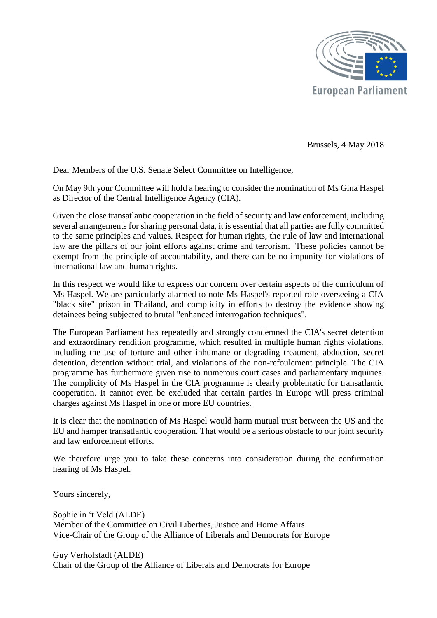

Brussels, 4 May 2018

Dear Members of the U.S. Senate Select Committee on Intelligence,

On May 9th your Committee will hold a hearing to consider the nomination of Ms Gina Haspel as Director of the Central Intelligence Agency (CIA).

Given the close transatlantic cooperation in the field of security and law enforcement, including several arrangements for sharing personal data, it is essential that all parties are fully committed to the same principles and values. Respect for human rights, the rule of law and international law are the pillars of our joint efforts against crime and terrorism. These policies cannot be exempt from the principle of accountability, and there can be no impunity for violations of international law and human rights.

In this respect we would like to express our concern over certain aspects of the curriculum of Ms Haspel. We are particularly alarmed to note Ms Haspel's reported role overseeing a CIA "black site" prison in Thailand, and complicity in efforts to destroy the evidence showing detainees being subjected to brutal "enhanced interrogation techniques".

The European Parliament has repeatedly and strongly condemned the CIA's secret detention and extraordinary rendition programme, which resulted in multiple human rights violations, including the use of torture and other inhumane or degrading treatment, abduction, secret detention, detention without trial, and violations of the non-refoulement principle. The CIA programme has furthermore given rise to numerous court cases and parliamentary inquiries. The complicity of Ms Haspel in the CIA programme is clearly problematic for transatlantic cooperation. It cannot even be excluded that certain parties in Europe will press criminal charges against Ms Haspel in one or more EU countries.

It is clear that the nomination of Ms Haspel would harm mutual trust between the US and the EU and hamper transatlantic cooperation. That would be a serious obstacle to our joint security and law enforcement efforts.

We therefore urge you to take these concerns into consideration during the confirmation hearing of Ms Haspel.

Yours sincerely,

Sophie in 't Veld (ALDE) Member of the Committee on Civil Liberties, Justice and Home Affairs Vice-Chair of the Group of the Alliance of Liberals and Democrats for Europe

Guy Verhofstadt (ALDE) Chair of the Group of the Alliance of Liberals and Democrats for Europe